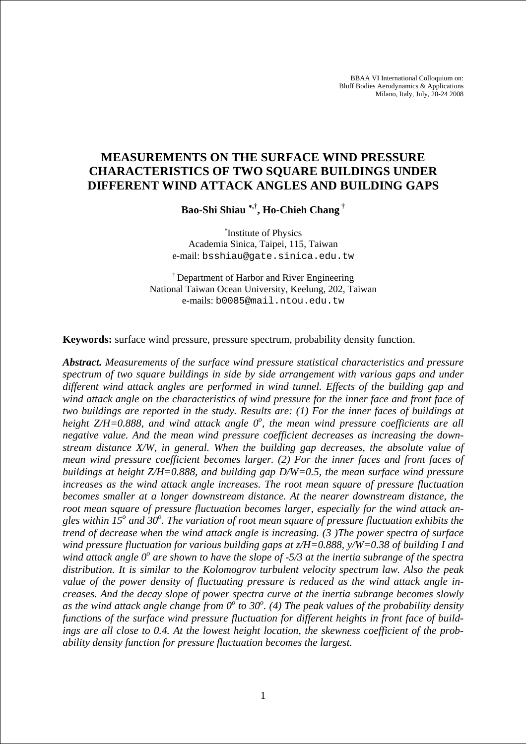BBAA VI International Colloquium on: Bluff Bodies Aerodynamics & Applications Milano, Italy, July, 20-24 2008

# **MEASUREMENTS ON THE SURFACE WIND PRESSURE CHARACTERISTICS OF TWO SQUARE BUILDINGS UNDER DIFFERENT WIND ATTACK ANGLES AND BUILDING GAPS**

**Bao-Shi Shiau** <sup>∗</sup>**,†, Ho-Chieh Chang †**

∗ Institute of Physics Academia Sinica, Taipei, 115, Taiwan e-mail: bsshiau@gate.sinica.edu.tw

† Department of Harbor and River Engineering National Taiwan Ocean University, Keelung, 202, Taiwan e-mails: b0085@mail.ntou.edu.tw

**Keywords:** surface wind pressure, pressure spectrum, probability density function.

*Abstract. Measurements of the surface wind pressure statistical characteristics and pressure spectrum of two square buildings in side by side arrangement with various gaps and under different wind attack angles are performed in wind tunnel. Effects of the building gap and wind attack angle on the characteristics of wind pressure for the inner face and front face of two buildings are reported in the study. Results are: (1) For the inner faces of buildings at*  height Z/H=0.888, and wind attack angle 0°, the mean wind pressure coefficients are all *negative value. And the mean wind pressure coefficient decreases as increasing the downstream distance X/W, in general. When the building gap decreases, the absolute value of mean wind pressure coefficient becomes larger. (2) For the inner faces and front faces of buildings at height Z/H=0.888, and building gap D/W=0.5, the mean surface wind pressure increases as the wind attack angle increases. The root mean square of pressure fluctuation becomes smaller at a longer downstream distance. At the nearer downstream distance, the root mean square of pressure fluctuation becomes larger, especially for the wind attack an*gles within 15<sup>o</sup> and 30<sup>o</sup>. The variation of root mean square of pressure fluctuation exhibits the *trend of decrease when the wind attack angle is increasing. (3 )The power spectra of surface wind pressure fluctuation for various building gaps at z/H=0.888, y/W=0.38 of building I and*  wind attack angle O<sup>o</sup> are shown to have the slope of -5/3 at the inertia subrange of the spectra *distribution. It is similar to the Kolomogrov turbulent velocity spectrum law. Also the peak value of the power density of fluctuating pressure is reduced as the wind attack angle increases. And the decay slope of power spectra curve at the inertia subrange becomes slowly*  as the wind attack angle change from  $0^{\circ}$  to 30<sup>o</sup>. (4) The peak values of the probability density *functions of the surface wind pressure fluctuation for different heights in front face of buildings are all close to 0.4. At the lowest height location, the skewness coefficient of the probability density function for pressure fluctuation becomes the largest.*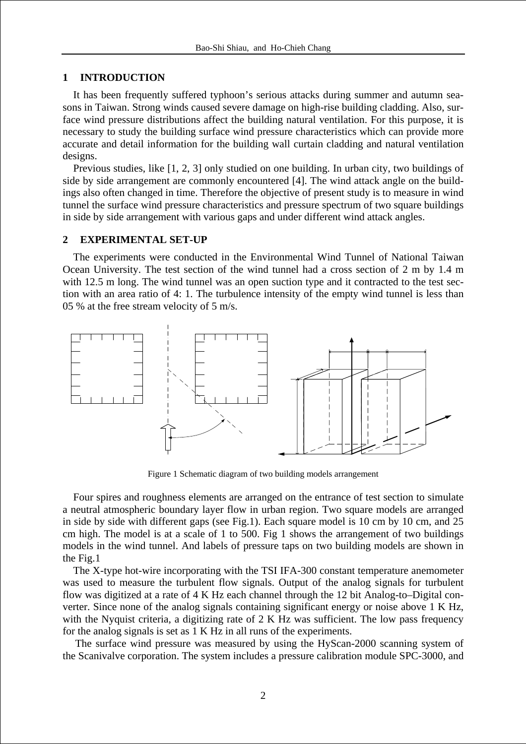# **1 INTRODUCTION**

It has been frequently suffered typhoon's serious attacks during summer and autumn seasons in Taiwan. Strong winds caused severe damage on high-rise building cladding. Also, surface wind pressure distributions affect the building natural ventilation. For this purpose, it is necessary to study the building surface wind pressure characteristics which can provide more accurate and detail information for the building wall curtain cladding and natural ventilation designs.

Previous studies, like [1, 2, 3] only studied on one building. In urban city, two buildings of side by side arrangement are commonly encountered [4]. The wind attack angle on the buildings also often changed in time. Therefore the objective of present study is to measure in wind tunnel the surface wind pressure characteristics and pressure spectrum of two square buildings in side by side arrangement with various gaps and under different wind attack angles.

# **2 EXPERIMENTAL SET-UP**

The experiments were conducted in the Environmental Wind Tunnel of National Taiwan Ocean University. The test section of the wind tunnel had a cross section of 2 m by 1.4 m with 12.5 m long. The wind tunnel was an open suction type and it contracted to the test section with an area ratio of 4: 1. The turbulence intensity of the empty wind tunnel is less than 05 % at the free stream velocity of 5 m/s.



Figure 1 Schematic diagram of two building models arrangement

Four spires and roughness elements are arranged on the entrance of test section to simulate a neutral atmospheric boundary layer flow in urban region. Two square models are arranged in side by side with different gaps (see Fig.1). Each square model is 10 cm by 10 cm, and 25 cm high. The model is at a scale of 1 to 500. Fig 1 shows the arrangement of two buildings models in the wind tunnel. And labels of pressure taps on two building models are shown in the Fig.1

The X-type hot-wire incorporating with the TSI IFA-300 constant temperature anemometer was used to measure the turbulent flow signals. Output of the analog signals for turbulent flow was digitized at a rate of 4 K Hz each channel through the 12 bit Analog-to–Digital converter. Since none of the analog signals containing significant energy or noise above 1 K Hz, with the Nyquist criteria, a digitizing rate of 2 K Hz was sufficient. The low pass frequency for the analog signals is set as 1 K Hz in all runs of the experiments.

The surface wind pressure was measured by using the HyScan-2000 scanning system of the Scanivalve corporation. The system includes a pressure calibration module SPC-3000, and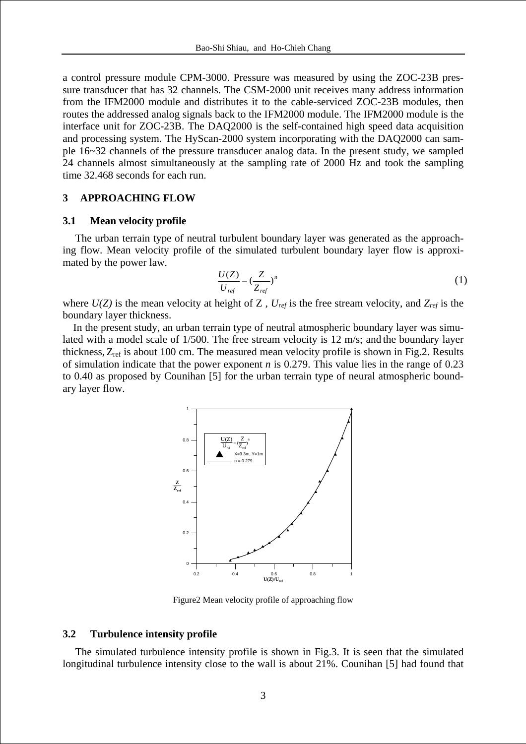a control pressure module CPM-3000. Pressure was measured by using the ZOC-23B pressure transducer that has 32 channels. The CSM-2000 unit receives many address information from the IFM2000 module and distributes it to the cable-serviced ZOC-23B modules, then routes the addressed analog signals back to the IFM2000 module. The IFM2000 module is the interface unit for ZOC-23B. The DAQ2000 is the self-contained high speed data acquisition and processing system. The HyScan-2000 system incorporating with the DAQ2000 can sample 16~32 channels of the pressure transducer analog data. In the present study, we sampled 24 channels almost simultaneously at the sampling rate of 2000 Hz and took the sampling time 32.468 seconds for each run.

### **3 APPROACHING FLOW**

#### **3.1 Mean velocity profile**

The urban terrain type of neutral turbulent boundary layer was generated as the approaching flow. Mean velocity profile of the simulated turbulent boundary layer flow is approximated by the power law.

$$
\frac{U(Z)}{U_{ref}} = \left(\frac{Z}{Z_{ref}}\right)^n\tag{1}
$$

where  $U(Z)$  is the mean velocity at height of Z,  $U_{ref}$  is the free stream velocity, and  $Z_{ref}$  is the boundary layer thickness.

In the present study, an urban terrain type of neutral atmospheric boundary layer was simulated with a model scale of 1/500. The free stream velocity is 12 m/s; and the boundary layer thickness,  $Z_{\text{ref}}$  is about 100 cm. The measured mean velocity profile is shown in Fig.2. Results of simulation indicate that the power exponent *n* is 0.279. This value lies in the range of 0.23 to 0.40 as proposed by Counihan [5] for the urban terrain type of neural atmospheric boundary layer flow.



Figure2 Mean velocity profile of approaching flow

#### **3.2 Turbulence intensity profile**

The simulated turbulence intensity profile is shown in Fig.3. It is seen that the simulated longitudinal turbulence intensity close to the wall is about 21%. Counihan [5] had found that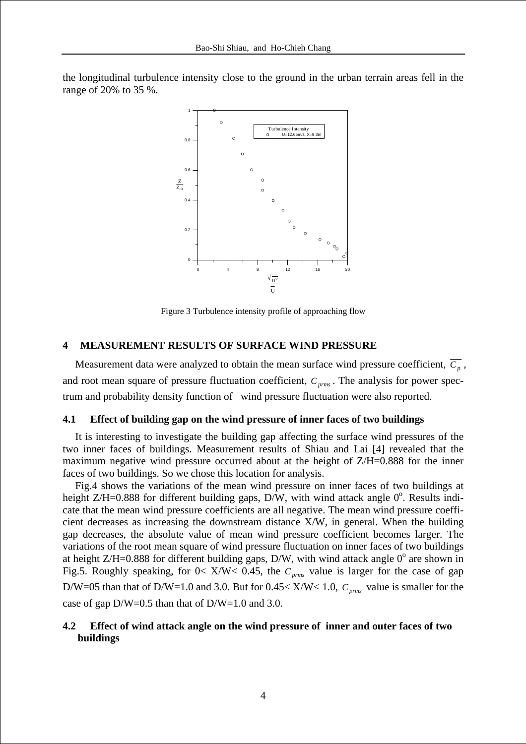the longitudinal turbulence intensity close to the ground in the urban terrain areas fell in the range of 20% to 35 %.



Figure 3 Turbulence intensity profile of approaching flow

# **4 MEASUREMENT RESULTS OF SURFACE WIND PRESSURE**

Measurement data were analyzed to obtain the mean surface wind pressure coefficient,  $\overline{C_n}$ , and root mean square of pressure fluctuation coefficient,  $C_{prms}$ . The analysis for power spectrum and probability density function of wind pressure fluctuation were also reported.

#### **4.1 Effect of building gap on the wind pressure of inner faces of two buildings**

It is interesting to investigate the building gap affecting the surface wind pressures of the two inner faces of buildings. Measurement results of Shiau and Lai [4] revealed that the maximum negative wind pressure occurred about at the height of  $Z/H = 0.888$  for the inner faces of two buildings. So we chose this location for analysis.

Fig.4 shows the variations of the mean wind pressure on inner faces of two buildings at height Z/H=0.888 for different building gaps,  $D/W$ , with wind attack angle  $0^{\circ}$ . Results indicate that the mean wind pressure coefficients are all negative. The mean wind pressure coefficient decreases as increasing the downstream distance X/W, in general. When the building gap decreases, the absolute value of mean wind pressure coefficient becomes larger. The variations of the root mean square of wind pressure fluctuation on inner faces of two buildings at height Z/H=0.888 for different building gaps, D/W, with wind attack angle  $0^{\circ}$  are shown in Fig.5. Roughly speaking, for  $0 < X/W < 0.45$ , the  $C_{prms}$  value is larger for the case of gap D/W=05 than that of D/W=1.0 and 3.0. But for  $0.45 < X/W < 1.0$ ,  $C_{prms}$  value is smaller for the case of gap D/W=0.5 than that of D/W=1.0 and 3.0.

# **4.2 Effect of wind attack angle on the wind pressure of inner and outer faces of two buildings**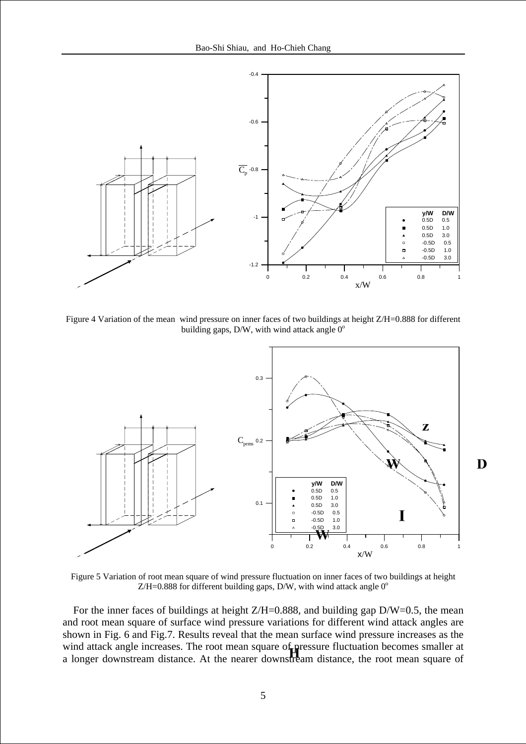

Figure 4 Variation of the mean wind pressure on inner faces of two buildings at height Z/H=0.888 for different building gaps,  $D/W$ , with wind attack angle  $0^{\circ}$ 



D

Figure 5 Variation of root mean square of wind pressure fluctuation on inner faces of two buildings at height Z/H=0.888 for different building gaps, D/W, with wind attack angle  $0^{\circ}$ 

For the inner faces of buildings at height  $Z/H=0.888$ , and building gap  $D/W=0.5$ , the mean and root mean square of surface wind pressure variations for different wind attack angles are shown in Fig. 6 and Fig.7. Results reveal that the mean surface wind pressure increases as the wind attack angle increases. The root mean square of pressure fluctuation becomes smaller at a longer downstream distance. At the nearer downstream distance, the root mean square of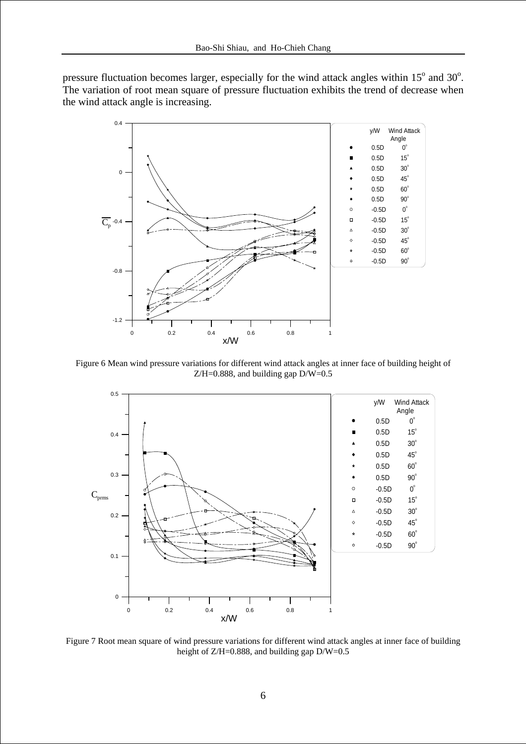pressure fluctuation becomes larger, especially for the wind attack angles within  $15^{\circ}$  and  $30^{\circ}$ . The variation of root mean square of pressure fluctuation exhibits the trend of decrease when the wind attack angle is increasing.



Figure 6 Mean wind pressure variations for different wind attack angles at inner face of building height of  $Z/H = 0.888$ , and building gap  $D/W = 0.5$ 



Figure 7 Root mean square of wind pressure variations for different wind attack angles at inner face of building height of Z/H=0.888, and building gap D/W=0.5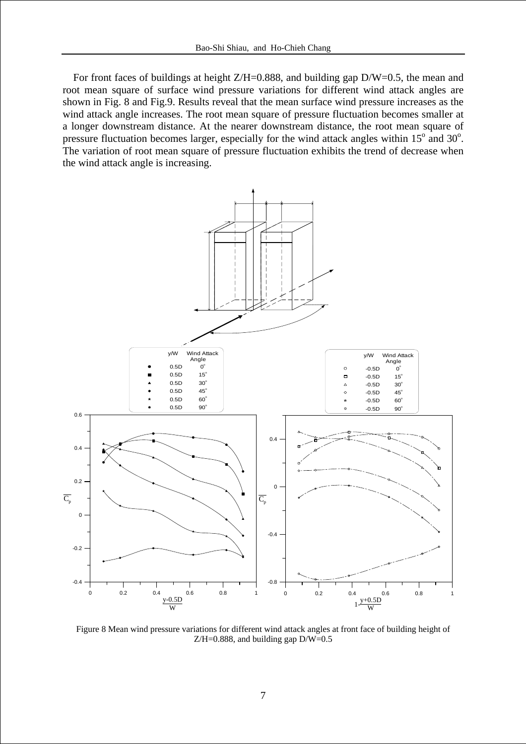For front faces of buildings at height Z/H=0.888, and building gap D/W=0.5, the mean and root mean square of surface wind pressure variations for different wind attack angles are shown in Fig. 8 and Fig.9. Results reveal that the mean surface wind pressure increases as the wind attack angle increases. The root mean square of pressure fluctuation becomes smaller at a longer downstream distance. At the nearer downstream distance, the root mean square of pressure fluctuation becomes larger, especially for the wind attack angles within  $15^{\circ}$  and  $30^{\circ}$ . The variation of root mean square of pressure fluctuation exhibits the trend of decrease when the wind attack angle is increasing.



Figure 8 Mean wind pressure variations for different wind attack angles at front face of building height of  $Z/H=0.888$ , and building gap  $D/W=0.5$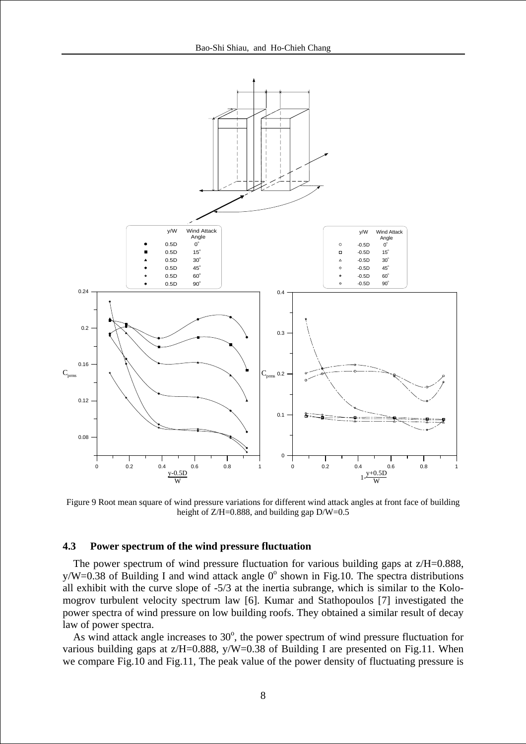

Figure 9 Root mean square of wind pressure variations for different wind attack angles at front face of building height of Z/H=0.888, and building gap D/W=0.5

### **4.3 Power spectrum of the wind pressure fluctuation**

The power spectrum of wind pressure fluctuation for various building gaps at  $z/H=0.888$ ,  $y/W=0.38$  of Building I and wind attack angle 0 $^{\circ}$  shown in Fig.10. The spectra distributions all exhibit with the curve slope of -5/3 at the inertia subrange, which is similar to the Kolomogrov turbulent velocity spectrum law [6]. Kumar and Stathopoulos [7] investigated the power spectra of wind pressure on low building roofs. They obtained a similar result of decay law of power spectra.

As wind attack angle increases to  $30^{\circ}$ , the power spectrum of wind pressure fluctuation for various building gaps at  $z/H = 0.888$ ,  $y/W = 0.38$  of Building I are presented on Fig.11. When we compare Fig.10 and Fig.11, The peak value of the power density of fluctuating pressure is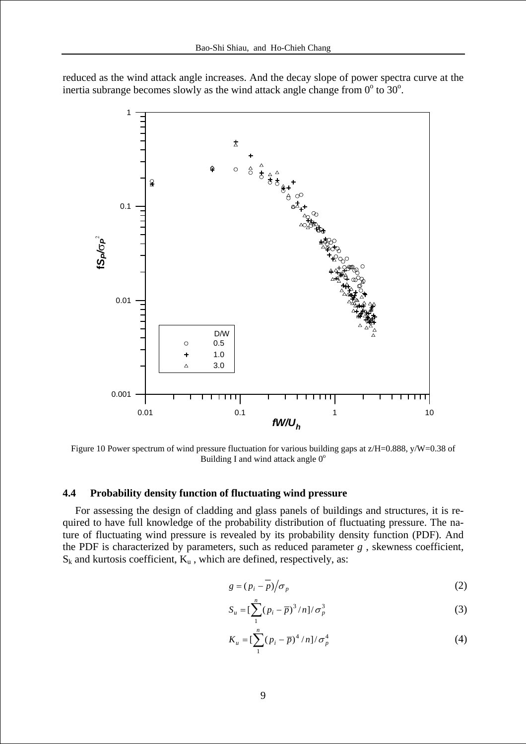



Figure 10 Power spectrum of wind pressure fluctuation for various building gaps at  $z/H=0.888$ , y/W=0.38 of Building I and wind attack angle  $0^{\circ}$ 

#### **4.4 Probability density function of fluctuating wind pressure**

For assessing the design of cladding and glass panels of buildings and structures, it is required to have full knowledge of the probability distribution of fluctuating pressure. The nature of fluctuating wind pressure is revealed by its probability density function (PDF). And the PDF is characterized by parameters, such as reduced parameter *g* , skewness coefficient,  $S_k$  and kurtosis coefficient,  $K_u$ , which are defined, respectively, as:

$$
g = (p_i - \overline{p})/\sigma_p \tag{2}
$$

$$
S_u = \left[\sum_{1}^{n} (p_i - \overline{p})^3 / n\right] / \sigma_p^3 \tag{3}
$$

$$
K_u = \left[\sum_{1}^{n} (p_i - \overline{p})^4 / n\right] / \sigma_p^4
$$
 (4)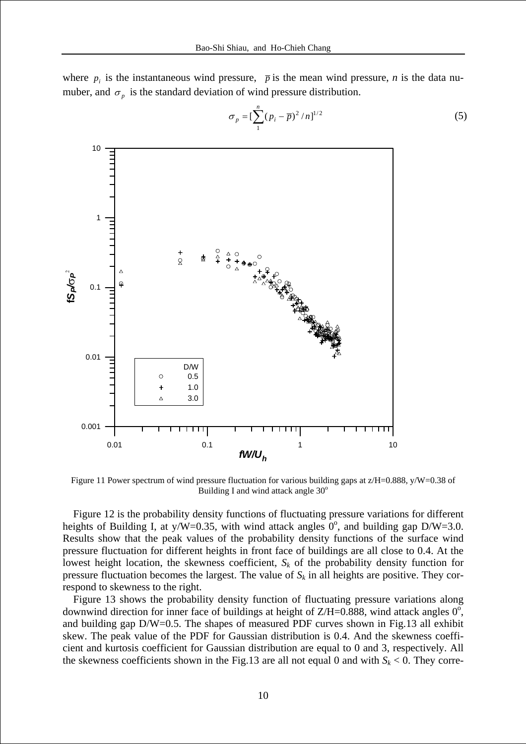where  $p_i$  is the instantaneous wind pressure,  $\bar{p}$  is the mean wind pressure, *n* is the data numuber, and  $\sigma_n$  is the standard deviation of wind pressure distribution.



$$
\sigma_p = \left[\sum_{1}^{n} (p_i - \overline{p})^2 / n\right]^{1/2}
$$
 (5)

Figure 11 Power spectrum of wind pressure fluctuation for various building gaps at  $z/H=0.888$ , y/W=0.38 of Building I and wind attack angle  $30^\circ$ 

Figure 12 is the probability density functions of fluctuating pressure variations for different heights of Building I, at y/W=0.35, with wind attack angles  $0^{\circ}$ , and building gap D/W=3.0. Results show that the peak values of the probability density functions of the surface wind pressure fluctuation for different heights in front face of buildings are all close to 0.4. At the lowest height location, the skewness coefficient,  $S_k$  of the probability density function for pressure fluctuation becomes the largest. The value of  $S_k$  in all heights are positive. They correspond to skewness to the right.

Figure 13 shows the probability density function of fluctuating pressure variations along downwind direction for inner face of buildings at height of Z/H=0.888, wind attack angles  $0^{\circ}$ , and building gap D/W=0.5. The shapes of measured PDF curves shown in Fig.13 all exhibit skew. The peak value of the PDF for Gaussian distribution is 0.4. And the skewness coefficient and kurtosis coefficient for Gaussian distribution are equal to 0 and 3, respectively. All the skewness coefficients shown in the Fig.13 are all not equal 0 and with  $S_k < 0$ . They corre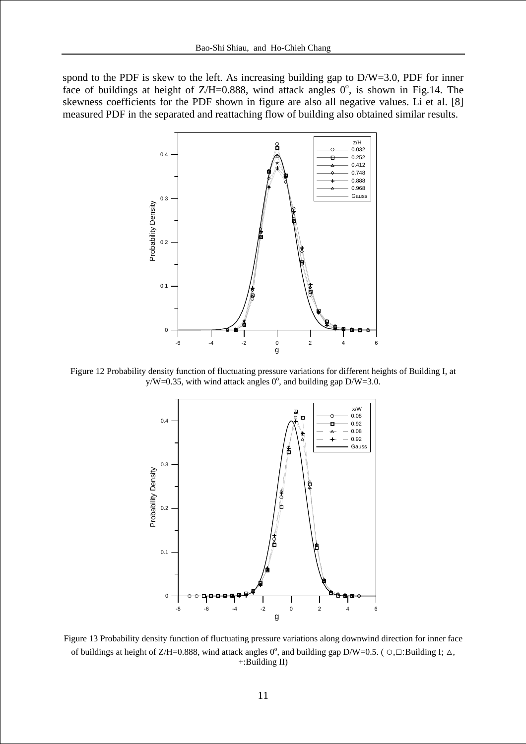spond to the PDF is skew to the left. As increasing building gap to D/W=3.0, PDF for inner face of buildings at height of Z/H=0.888, wind attack angles  $0^{\circ}$ , is shown in Fig.14. The skewness coefficients for the PDF shown in figure are also all negative values. Li et al. [8] measured PDF in the separated and reattaching flow of building also obtained similar results.



Figure 12 Probability density function of fluctuating pressure variations for different heights of Building I, at  $y/W=0.35$ , with wind attack angles 0°, and building gap D/W=3.0.



Figure 13 Probability density function of fluctuating pressure variations along downwind direction for inner face of buildings at height of Z/H=0.888, wind attack angles  $0^{\circ}$ , and building gap D/W=0.5. ( $\circ$ , $\Box$ :Building I;  $\triangle$ , +:Building II)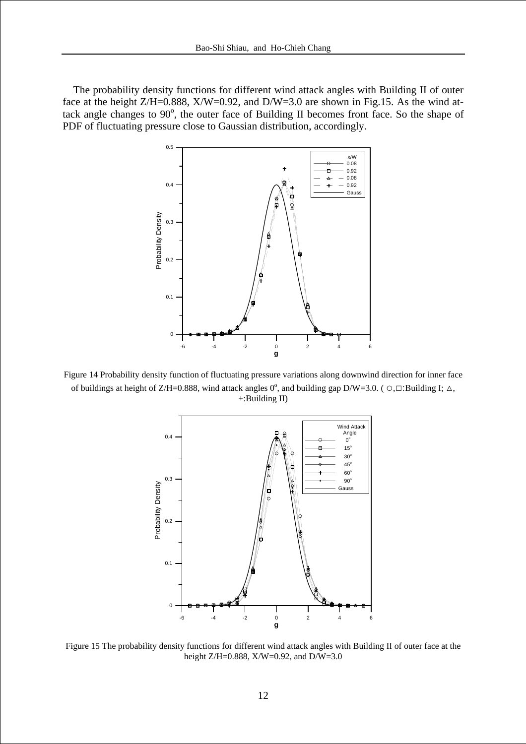The probability density functions for different wind attack angles with Building II of outer face at the height  $Z/H=0.888$ ,  $X/W=0.92$ , and  $D/W=3.0$  are shown in Fig.15. As the wind attack angle changes to  $90^\circ$ , the outer face of Building II becomes front face. So the shape of PDF of fluctuating pressure close to Gaussian distribution, accordingly.



Figure 14 Probability density function of fluctuating pressure variations along downwind direction for inner face of buildings at height of Z/H=0.888, wind attack angles  $0^{\circ}$ , and building gap D/W=3.0. ( $\circ$ , $\Box$ :Building I;  $\triangle$ , +:Building II)



Figure 15 The probability density functions for different wind attack angles with Building II of outer face at the height Z/H=0.888, X/W=0.92, and D/W=3.0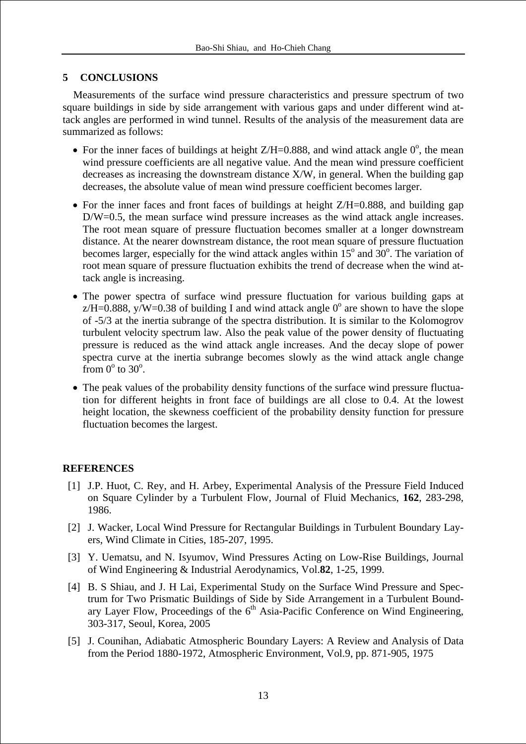# **5 CONCLUSIONS**

Measurements of the surface wind pressure characteristics and pressure spectrum of two square buildings in side by side arrangement with various gaps and under different wind attack angles are performed in wind tunnel. Results of the analysis of the measurement data are summarized as follows:

- For the inner faces of buildings at height  $Z/H=0.888$ , and wind attack angle  $0^{\circ}$ , the mean wind pressure coefficients are all negative value. And the mean wind pressure coefficient decreases as increasing the downstream distance X/W, in general. When the building gap decreases, the absolute value of mean wind pressure coefficient becomes larger.
- For the inner faces and front faces of buildings at height  $Z/H=0.888$ , and building gap D/W=0.5, the mean surface wind pressure increases as the wind attack angle increases. The root mean square of pressure fluctuation becomes smaller at a longer downstream distance. At the nearer downstream distance, the root mean square of pressure fluctuation becomes larger, especially for the wind attack angles within  $15^{\circ}$  and  $30^{\circ}$ . The variation of root mean square of pressure fluctuation exhibits the trend of decrease when the wind attack angle is increasing.
- The power spectra of surface wind pressure fluctuation for various building gaps at  $z/H = 0.888$ , y/W=0.38 of building I and wind attack angle 0<sup>°</sup> are shown to have the slope of -5/3 at the inertia subrange of the spectra distribution. It is similar to the Kolomogrov turbulent velocity spectrum law. Also the peak value of the power density of fluctuating pressure is reduced as the wind attack angle increases. And the decay slope of power spectra curve at the inertia subrange becomes slowly as the wind attack angle change from  $0^{\circ}$  to  $30^{\circ}$ .
- The peak values of the probability density functions of the surface wind pressure fluctuation for different heights in front face of buildings are all close to 0.4. At the lowest height location, the skewness coefficient of the probability density function for pressure fluctuation becomes the largest.

# **REFERENCES**

- [1] J.P. Huot, C. Rey, and H. Arbey, Experimental Analysis of the Pressure Field Induced on Square Cylinder by a Turbulent Flow, Journal of Fluid Mechanics, **162**, 283-298, 1986.
- [2] J. Wacker, Local Wind Pressure for Rectangular Buildings in Turbulent Boundary Layers, Wind Climate in Cities, 185-207, 1995.
- [3] Y. Uematsu, and N. Isyumov, Wind Pressures Acting on Low-Rise Buildings, Journal of Wind Engineering & Industrial Aerodynamics, Vol.**82**, 1-25, 1999.
- [4] B. S Shiau, and J. H Lai, Experimental Study on the Surface Wind Pressure and Spectrum for Two Prismatic Buildings of Side by Side Arrangement in a Turbulent Boundary Layer Flow, Proceedings of the  $6<sup>th</sup>$  Asia-Pacific Conference on Wind Engineering, 303-317, Seoul, Korea, 2005
- [5] J. Counihan, Adiabatic Atmospheric Boundary Layers: A Review and Analysis of Data from the Period 1880-1972, Atmospheric Environment, Vol.9, pp. 871-905, 1975